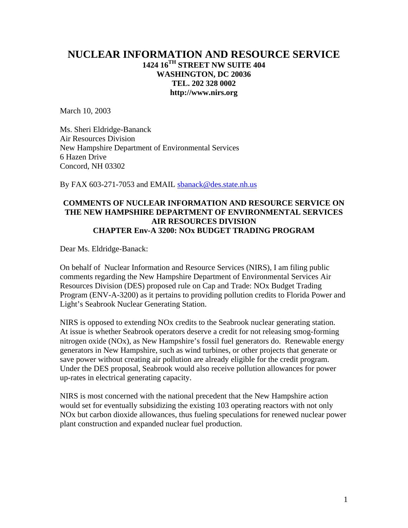# **NUCLEAR INFORMATION AND RESOURCE SERVICE 1424 16TH STREET NW SUITE 404 WASHINGTON, DC 20036 TEL. 202 328 0002 http://www.nirs.org**

March 10, 2003

Ms. Sheri Eldridge-Bananck Air Resources Division New Hampshire Department of Environmental Services 6 Hazen Drive Concord, NH 03302

By FAX 603-271-7053 and EMAIL [sbanack@des.state.nh.us](mailto:sbanack@des.state.nh.us)

# **COMMENTS OF NUCLEAR INFORMATION AND RESOURCE SERVICE ON THE NEW HAMPSHIRE DEPARTMENT OF ENVIRONMENTAL SERVICES AIR RESOURCES DIVISION CHAPTER Env-A 3200: NOx BUDGET TRADING PROGRAM**

Dear Ms. Eldridge-Banack:

On behalf of Nuclear Information and Resource Services (NIRS), I am filing public comments regarding the New Hampshire Department of Environmental Services Air Resources Division (DES) proposed rule on Cap and Trade: NOx Budget Trading Program (ENV-A-3200) as it pertains to providing pollution credits to Florida Power and Light's Seabrook Nuclear Generating Station.

NIRS is opposed to extending NOx credits to the Seabrook nuclear generating station. At issue is whether Seabrook operators deserve a credit for not releasing smog-forming nitrogen oxide (NOx), as New Hampshire's fossil fuel generators do. Renewable energy generators in New Hampshire, such as wind turbines, or other projects that generate or save power without creating air pollution are already eligible for the credit program. Under the DES proposal, Seabrook would also receive pollution allowances for power up-rates in electrical generating capacity.

NIRS is most concerned with the national precedent that the New Hampshire action would set for eventually subsidizing the existing 103 operating reactors with not only NOx but carbon dioxide allowances, thus fueling speculations for renewed nuclear power plant construction and expanded nuclear fuel production.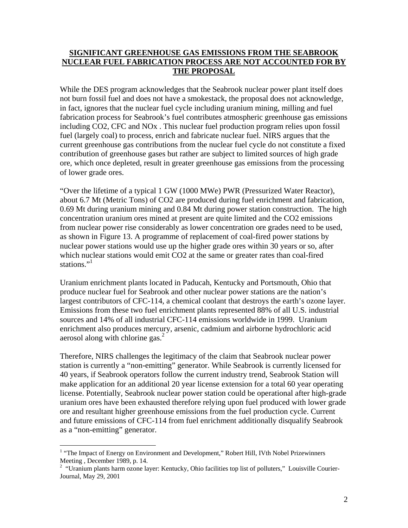# **SIGNIFICANT GREENHOUSE GAS EMISSIONS FROM THE SEABROOK NUCLEAR FUEL FABRICATION PROCESS ARE NOT ACCOUNTED FOR BY THE PROPOSAL**

While the DES program acknowledges that the Seabrook nuclear power plant itself does not burn fossil fuel and does not have a smokestack, the proposal does not acknowledge, in fact, ignores that the nuclear fuel cycle including uranium mining, milling and fuel fabrication process for Seabrook's fuel contributes atmospheric greenhouse gas emissions including CO2, CFC and NOx . This nuclear fuel production program relies upon fossil fuel (largely coal) to process, enrich and fabricate nuclear fuel. NIRS argues that the current greenhouse gas contributions from the nuclear fuel cycle do not constitute a fixed contribution of greenhouse gases but rather are subject to limited sources of high grade ore, which once depleted, result in greater greenhouse gas emissions from the processing of lower grade ores.

"Over the lifetime of a typical 1 GW (1000 MWe) PWR (Pressurized Water Reactor), about 6.7 Mt (Metric Tons) of CO2 are produced during fuel enrichment and fabrication, 0.69 Mt during uranium mining and 0.84 Mt during power station construction. The high concentration uranium ores mined at present are quite limited and the CO2 emissions from nuclear power rise considerably as lower concentration ore grades need to be used, as shown in Figure 13. A programme of replacement of coal-fired power stations by nuclear power stations would use up the higher grade ores within 30 years or so, after which nuclear stations would emit CO2 at the same or greater rates than coal-fired stations."<sup>1</sup>

Uranium enrichment plants located in Paducah, Kentucky and Portsmouth, Ohio that produce nuclear fuel for Seabrook and other nuclear power stations are the nation's largest contributors of CFC-114, a chemical coolant that destroys the earth's ozone layer. Emissions from these two fuel enrichment plants represented 88% of all U.S. industrial sources and 14% of all industrial CFC-114 emissions worldwide in 1999. Uranium enrichment also produces mercury, arsenic, cadmium and airborne hydrochloric acid aerosol along with chlorine gas. $<sup>2</sup>$  $<sup>2</sup>$  $<sup>2</sup>$ </sup>

Therefore, NIRS challenges the legitimacy of the claim that Seabrook nuclear power station is currently a "non-emitting" generator. While Seabrook is currently licensed for 40 years, if Seabrook operators follow the current industry trend, Seabrook Station will make application for an additional 20 year license extension for a total 60 year operating license. Potentially, Seabrook nuclear power station could be operational after high-grade uranium ores have been exhausted therefore relying upon fuel produced with lower grade ore and resultant higher greenhouse emissions from the fuel production cycle. Current and future emissions of CFC-114 from fuel enrichment additionally disqualify Seabrook as a "non-emitting" generator.

<span id="page-1-0"></span>Termin and Development and Development, The Impact of Energy on Environment and Development," Robert Hill, IVth Nobel Prizewinners Meeting , December 1989, p. 14.<br><sup>2</sup> "Uranium plants harm ozone layer: Kentucky, Ohio facilities top list of polluters," Louisville Courier-

<span id="page-1-1"></span>Journal, May 29, 2001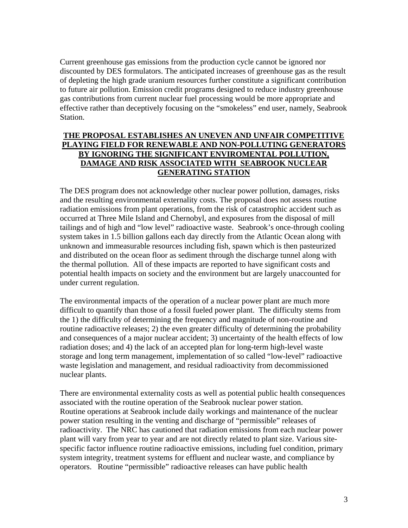Current greenhouse gas emissions from the production cycle cannot be ignored nor discounted by DES formulators. The anticipated increases of greenhouse gas as the result of depleting the high grade uranium resources further constitute a significant contribution to future air pollution. Emission credit programs designed to reduce industry greenhouse gas contributions from current nuclear fuel processing would be more appropriate and effective rather than deceptively focusing on the "smokeless" end user, namely, Seabrook Station.

### **THE PROPOSAL ESTABLISHES AN UNEVEN AND UNFAIR COMPETITIVE PLAYING FIELD FOR RENEWABLE AND NON-POLLUTING GENERATORS BY IGNORING THE SIGNIFICANT ENVIROMENTAL POLLUTION, DAMAGE AND RISK ASSOCIATED WITH SEABROOK NUCLEAR GENERATING STATION**

The DES program does not acknowledge other nuclear power pollution, damages, risks and the resulting environmental externality costs. The proposal does not assess routine radiation emissions from plant operations, from the risk of catastrophic accident such as occurred at Three Mile Island and Chernobyl, and exposures from the disposal of mill tailings and of high and "low level" radioactive waste. Seabrook's once-through cooling system takes in 1.5 billion gallons each day directly from the Atlantic Ocean along with unknown and immeasurable resources including fish, spawn which is then pasteurized and distributed on the ocean floor as sediment through the discharge tunnel along with the thermal pollution. All of these impacts are reported to have significant costs and potential health impacts on society and the environment but are largely unaccounted for under current regulation.

The environmental impacts of the operation of a nuclear power plant are much more difficult to quantify than those of a fossil fueled power plant. The difficulty stems from the 1) the difficulty of determining the frequency and magnitude of non-routine and routine radioactive releases; 2) the even greater difficulty of determining the probability and consequences of a major nuclear accident; 3) uncertainty of the health effects of low radiation doses; and 4) the lack of an accepted plan for long-term high-level waste storage and long term management, implementation of so called "low-level" radioactive waste legislation and management, and residual radioactivity from decommissioned nuclear plants.

There are environmental externality costs as well as potential public health consequences associated with the routine operation of the Seabrook nuclear power station. Routine operations at Seabrook include daily workings and maintenance of the nuclear power station resulting in the venting and discharge of "permissible" releases of radioactivity. The NRC has cautioned that radiation emissions from each nuclear power plant will vary from year to year and are not directly related to plant size. Various sitespecific factor influence routine radioactive emissions, including fuel condition, primary system integrity, treatment systems for effluent and nuclear waste, and compliance by operators. Routine "permissible" radioactive releases can have public health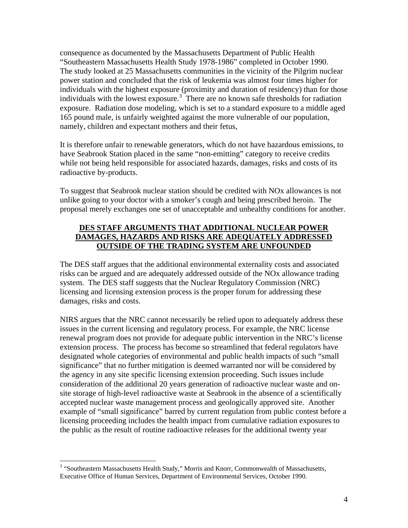consequence as documented by the Massachusetts Department of Public Health "Southeastern Massachusetts Health Study 1978-1986" completed in October 1990. The study looked at 25 Massachusetts communities in the vicinity of the Pilgrim nuclear power station and concluded that the risk of leukemia was almost four times higher for individuals with the highest exposure (proximity and duration of residency) than for those individuals with the lowest exposure.<sup>[3](#page-3-0)</sup> There are no known safe thresholds for radiation exposure. Radiation dose modeling, which is set to a standard exposure to a middle aged 165 pound male, is unfairly weighted against the more vulnerable of our population, namely, children and expectant mothers and their fetus,

It is therefore unfair to renewable generators, which do not have hazardous emissions, to have Seabrook Station placed in the same "non-emitting" category to receive credits while not being held responsible for associated hazards, damages, risks and costs of its radioactive by-products.

To suggest that Seabrook nuclear station should be credited with NOx allowances is not unlike going to your doctor with a smoker's cough and being prescribed heroin. The proposal merely exchanges one set of unacceptable and unhealthy conditions for another.

# **DES STAFF ARGUMENTS THAT ADDITIONAL NUCLEAR POWER DAMAGES, HAZARDS AND RISKS ARE ADEQUATELY ADDRESSED OUTSIDE OF THE TRADING SYSTEM ARE UNFOUNDED**

The DES staff argues that the additional environmental externality costs and associated risks can be argued and are adequately addressed outside of the NOx allowance trading system. The DES staff suggests that the Nuclear Regulatory Commission (NRC) licensing and licensing extension process is the proper forum for addressing these damages, risks and costs.

NIRS argues that the NRC cannot necessarily be relied upon to adequately address these issues in the current licensing and regulatory process. For example, the NRC license renewal program does not provide for adequate public intervention in the NRC's license extension process. The process has become so streamlined that federal regulators have designated whole categories of environmental and public health impacts of such "small significance" that no further mitigation is deemed warranted nor will be considered by the agency in any site specific licensing extension proceeding. Such issues include consideration of the additional 20 years generation of radioactive nuclear waste and onsite storage of high-level radioactive waste at Seabrook in the absence of a scientifically accepted nuclear waste management process and geologically approved site. Another example of "small significance" barred by current regulation from public contest before a licensing proceeding includes the health impact from cumulative radiation exposures to the public as the result of routine radioactive releases for the additional twenty year

1

<span id="page-3-0"></span><sup>&</sup>lt;sup>3</sup> "Southeastern Massachusetts Health Study," Morris and Knorr, Commonwealth of Massachusetts, Executive Office of Human Services, Department of Environmental Services, October 1990.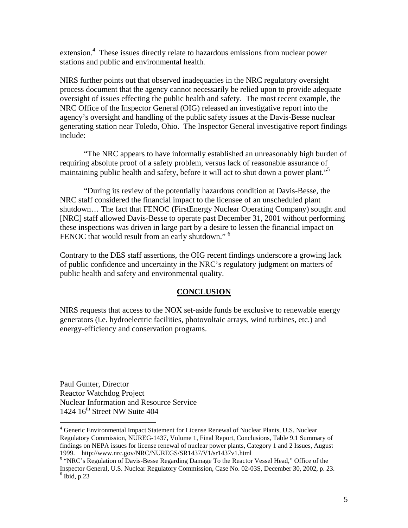extension.<sup>4</sup> These issues directly relate to hazardous emissions from nuclear power stations and public and environmental health.

NIRS further points out that observed inadequacies in the NRC regulatory oversight process document that the agency cannot necessarily be relied upon to provide adequate oversight of issues effecting the public health and safety. The most recent example, the NRC Office of the Inspector General (OIG) released an investigative report into the agency's oversight and handling of the public safety issues at the Davis-Besse nuclear generating station near Toledo, Ohio. The Inspector General investigative report findings include:

"The NRC appears to have informally established an unreasonably high burden of requiring absolute proof of a safety problem, versus lack of reasonable assurance of maintaining public health and safety, before it will act to shut down a power plant."<sup>5</sup>

"During its review of the potentially hazardous condition at Davis-Besse, the NRC staff considered the financial impact to the licensee of an unscheduled plant shutdown… The fact that FENOC (FirstEnergy Nuclear Operating Company) sought and [NRC] staff allowed Davis-Besse to operate past December 31, 2001 without performing these inspections was driven in large part by a desire to lessen the financial impact on FENOC that would result from an early shutdown."<sup>[6](#page-4-2)</sup>

Contrary to the DES staff assertions, the OIG recent findings underscore a growing lack of public confidence and uncertainty in the NRC's regulatory judgment on matters of public health and safety and environmental quality.

#### **CONCLUSION**

NIRS requests that access to the NOX set-aside funds be exclusive to renewable energy generators (i.e. hydroelectric facilities, photovoltaic arrays, wind turbines, etc.) and energy-efficiency and conservation programs.

Paul Gunter, Director Reactor Watchdog Project Nuclear Information and Resource Service 1424  $16<sup>th</sup>$  Street NW Suite 404

<u>.</u>

<span id="page-4-0"></span><sup>&</sup>lt;sup>4</sup> Generic Environmental Impact Statement for License Renewal of Nuclear Plants, U.S. Nuclear Regulatory Commission, NUREG-1437, Volume 1, Final Report, Conclusions, Table 9.1 Summary of findings on NEPA issues for license renewal of nuclear power plants, Category 1 and 2 Issues, August 1999. http://www.nrc.gov/NRC/NUREGS/SR1437/V1/sr1437v1.html <sup>5</sup>

<span id="page-4-2"></span><span id="page-4-1"></span><sup>&</sup>lt;sup>5</sup> "NRC's Regulation of Davis-Besse Regarding Damage To the Reactor Vessel Head," Office of the Inspector General, U.S. Nuclear Regulatory Commission, Case No. 02-03S, December 30, 2002, p. 23. 6  $6$  Ibid, p.23